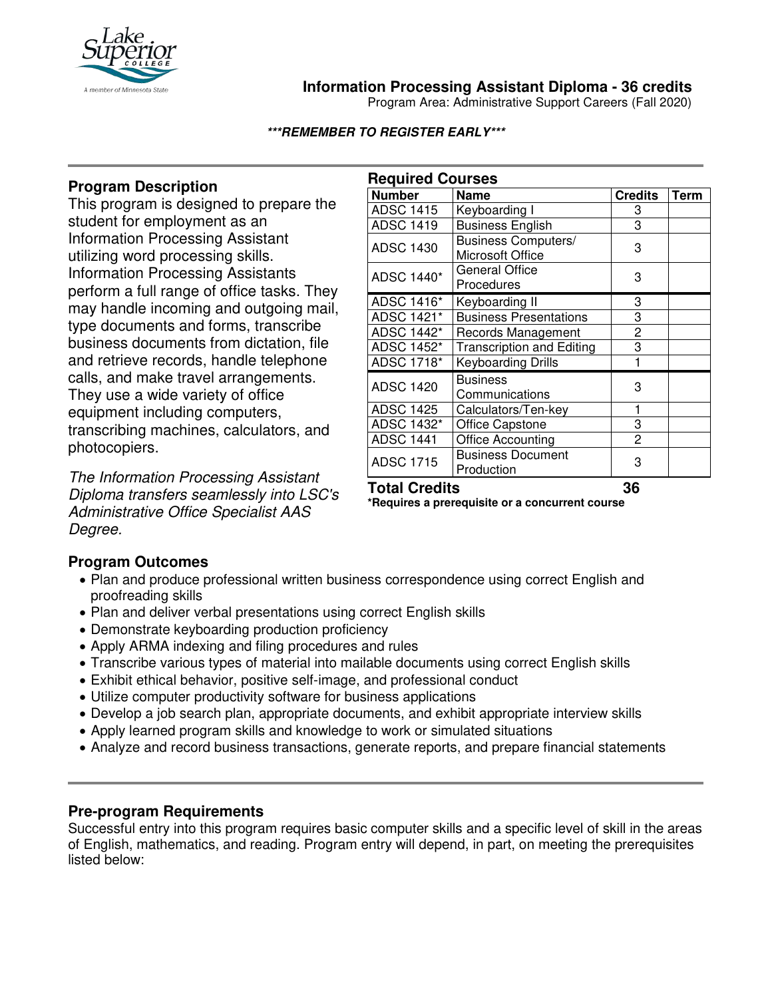

## **Information Processing Assistant Diploma - 36 credits**

Program Area: Administrative Support Careers (Fall 2020)

**\*\*\*REMEMBER TO REGISTER EARLY\*\*\***

# **Program Description**

This program is designed to prepare the student for employment as an Information Processing Assistant utilizing word processing skills. Information Processing Assistants perform a full range of office tasks. They may handle incoming and outgoing mail, type documents and forms, transcribe business documents from dictation, file and retrieve records, handle telephone calls, and make travel arrangements. They use a wide variety of office equipment including computers, transcribing machines, calculators, and photocopiers.

*The Information Processing Assistant Diploma transfers seamlessly into LSC's Administrative Office Specialist AAS Degree.* 

| <b>Required Courses</b> |                                         |                |      |
|-------------------------|-----------------------------------------|----------------|------|
| <b>Number</b>           | <b>Name</b>                             | <b>Credits</b> | Term |
| ADSC 1415               | Keyboarding I                           | 3              |      |
| <b>ADSC 1419</b>        | <b>Business English</b>                 | 3              |      |
| <b>ADSC 1430</b>        | Business Computers/<br>Microsoft Office | 3              |      |
| ADSC 1440*              | <b>General Office</b><br>Procedures     | 3              |      |
| ADSC 1416*              | Keyboarding II                          | 3              |      |
| ADSC 1421*              | <b>Business Presentations</b>           | 3              |      |
| ADSC 1442*              | Records Management                      | $\overline{c}$ |      |
| ADSC 1452*              | <b>Transcription and Editing</b>        | 3              |      |
| ADSC 1718*              | Keyboarding Drills                      |                |      |
| <b>ADSC 1420</b>        | <b>Business</b><br>Communications       | 3              |      |
| <b>ADSC 1425</b>        | Calculators/Ten-key                     | 1              |      |
| ADSC 1432*              | <b>Office Capstone</b>                  | 3              |      |
| <b>ADSC 1441</b>        | <b>Office Accounting</b>                | 2              |      |
| <b>ADSC 1715</b>        | <b>Business Document</b><br>Production  | 3              |      |
| <b>Total Credits</b>    |                                         | 36             |      |

**\*Requires a prerequisite or a concurrent course**

### **Program Outcomes**

- Plan and produce professional written business correspondence using correct English and proofreading skills
- Plan and deliver verbal presentations using correct English skills
- Demonstrate keyboarding production proficiency
- Apply ARMA indexing and filing procedures and rules
- Transcribe various types of material into mailable documents using correct English skills
- Exhibit ethical behavior, positive self-image, and professional conduct
- Utilize computer productivity software for business applications
- Develop a job search plan, appropriate documents, and exhibit appropriate interview skills
- Apply learned program skills and knowledge to work or simulated situations
- Analyze and record business transactions, generate reports, and prepare financial statements

### **Pre-program Requirements**

Successful entry into this program requires basic computer skills and a specific level of skill in the areas of English, mathematics, and reading. Program entry will depend, in part, on meeting the prerequisites listed below: